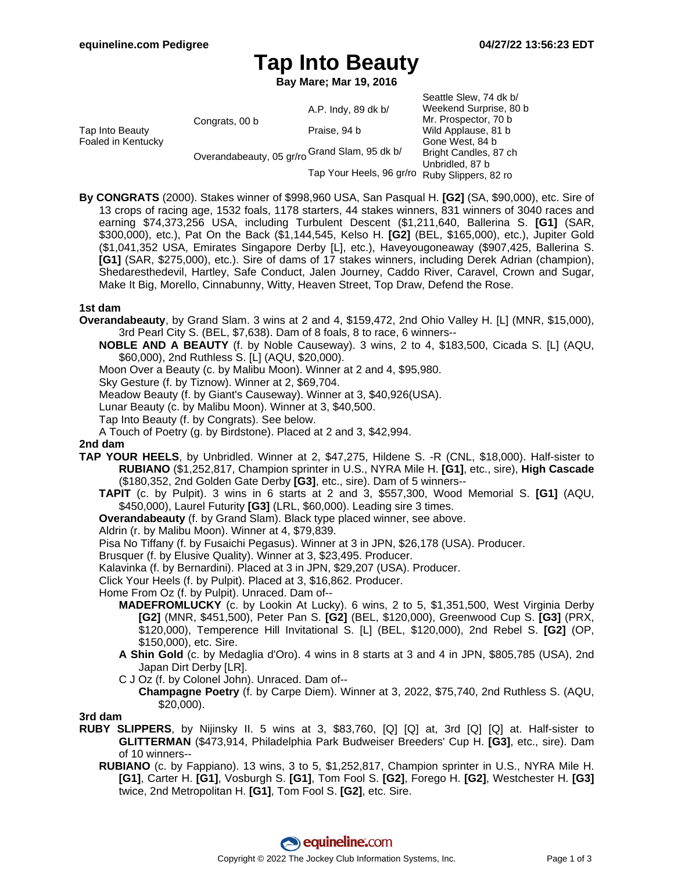# **Tap Into Beauty**

**Bay Mare; Mar 19, 2016**

|                                       |                                               |                          | Seattle Slew, 74 dk b/ |
|---------------------------------------|-----------------------------------------------|--------------------------|------------------------|
| Tap Into Beauty<br>Foaled in Kentucky | Congrats, 00 b                                | A.P. Indy, 89 dk b/      | Weekend Surprise, 80 b |
|                                       |                                               |                          | Mr. Prospector, 70 b   |
|                                       |                                               | Praise, 94 b             | Wild Applause, 81 b    |
|                                       | Overandabeauty, 05 gr/ro Grand Slam, 95 dk b/ |                          | Gone West, 84 b        |
|                                       |                                               |                          | Bright Candles, 87 ch  |
|                                       |                                               | Tap Your Heels, 96 gr/ro | Unbridled, 87 b        |
|                                       |                                               |                          | Ruby Slippers, 82 ro   |

**By CONGRATS** (2000). Stakes winner of \$998,960 USA, San Pasqual H. **[G2]** (SA, \$90,000), etc. Sire of 13 crops of racing age, 1532 foals, 1178 starters, 44 stakes winners, 831 winners of 3040 races and earning \$74,373,256 USA, including Turbulent Descent (\$1,211,640, Ballerina S. **[G1]** (SAR, \$300,000), etc.), Pat On the Back (\$1,144,545, Kelso H. **[G2]** (BEL, \$165,000), etc.), Jupiter Gold (\$1,041,352 USA, Emirates Singapore Derby [L], etc.), Haveyougoneaway (\$907,425, Ballerina S. **[G1]** (SAR, \$275,000), etc.). Sire of dams of 17 stakes winners, including Derek Adrian (champion), Shedaresthedevil, Hartley, Safe Conduct, Jalen Journey, Caddo River, Caravel, Crown and Sugar, Make It Big, Morello, Cinnabunny, Witty, Heaven Street, Top Draw, Defend the Rose.

### **1st dam**

- **Overandabeauty**, by Grand Slam. 3 wins at 2 and 4, \$159,472, 2nd Ohio Valley H. [L] (MNR, \$15,000), 3rd Pearl City S. (BEL, \$7,638). Dam of 8 foals, 8 to race, 6 winners--
	- **NOBLE AND A BEAUTY** (f. by Noble Causeway). 3 wins, 2 to 4, \$183,500, Cicada S. [L] (AQU, \$60,000), 2nd Ruthless S. [L] (AQU, \$20,000).
	- Moon Over a Beauty (c. by Malibu Moon). Winner at 2 and 4, \$95,980.

Sky Gesture (f. by Tiznow). Winner at 2, \$69,704.

Meadow Beauty (f. by Giant's Causeway). Winner at 3, \$40,926(USA).

Lunar Beauty (c. by Malibu Moon). Winner at 3, \$40,500.

- Tap Into Beauty (f. by Congrats). See below.
- A Touch of Poetry (g. by Birdstone). Placed at 2 and 3, \$42,994.

### **2nd dam**

- **TAP YOUR HEELS**, by Unbridled. Winner at 2, \$47,275, Hildene S. -R (CNL, \$18,000). Half-sister to **RUBIANO** (\$1,252,817, Champion sprinter in U.S., NYRA Mile H. **[G1]**, etc., sire), **High Cascade** (\$180,352, 2nd Golden Gate Derby **[G3]**, etc., sire). Dam of 5 winners--
	- **TAPIT** (c. by Pulpit). 3 wins in 6 starts at 2 and 3, \$557,300, Wood Memorial S. **[G1]** (AQU, \$450,000), Laurel Futurity **[G3]** (LRL, \$60,000). Leading sire 3 times.
	- **Overandabeauty** (f. by Grand Slam). Black type placed winner, see above.
	- Aldrin (r. by Malibu Moon). Winner at 4, \$79,839.
	- Pisa No Tiffany (f. by Fusaichi Pegasus). Winner at 3 in JPN, \$26,178 (USA). Producer.
	- Brusquer (f. by Elusive Quality). Winner at 3, \$23,495. Producer.
	- Kalavinka (f. by Bernardini). Placed at 3 in JPN, \$29,207 (USA). Producer.
	- Click Your Heels (f. by Pulpit). Placed at 3, \$16,862. Producer.
	- Home From Oz (f. by Pulpit). Unraced. Dam of--
		- **MADEFROMLUCKY** (c. by Lookin At Lucky). 6 wins, 2 to 5, \$1,351,500, West Virginia Derby **[G2]** (MNR, \$451,500), Peter Pan S. **[G2]** (BEL, \$120,000), Greenwood Cup S. **[G3]** (PRX, \$120,000), Temperence Hill Invitational S. [L] (BEL, \$120,000), 2nd Rebel S. **[G2]** (OP, \$150,000), etc. Sire.
		- **A Shin Gold** (c. by Medaglia d'Oro). 4 wins in 8 starts at 3 and 4 in JPN, \$805,785 (USA), 2nd Japan Dirt Derby [LR].
		- C J Oz (f. by Colonel John). Unraced. Dam of--

**Champagne Poetry** (f. by Carpe Diem). Winner at 3, 2022, \$75,740, 2nd Ruthless S. (AQU, \$20,000).

#### **3rd dam**

- **RUBY SLIPPERS**, by Nijinsky II. 5 wins at 3, \$83,760, [Q] [Q] at, 3rd [Q] [Q] at. Half-sister to **GLITTERMAN** (\$473,914, Philadelphia Park Budweiser Breeders' Cup H. **[G3]**, etc., sire). Dam of 10 winners--
	- **RUBIANO** (c. by Fappiano). 13 wins, 3 to 5, \$1,252,817, Champion sprinter in U.S., NYRA Mile H. **[G1]**, Carter H. **[G1]**, Vosburgh S. **[G1]**, Tom Fool S. **[G2]**, Forego H. **[G2]**, Westchester H. **[G3]** twice, 2nd Metropolitan H. **[G1]**, Tom Fool S. **[G2]**, etc. Sire.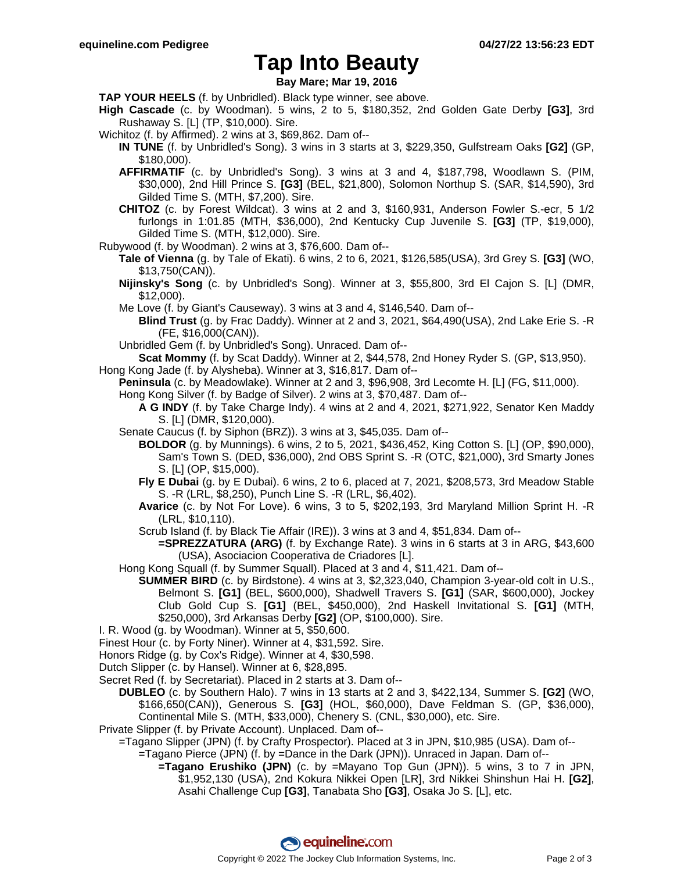## **Tap Into Beauty**

**Bay Mare; Mar 19, 2016**

**TAP YOUR HEELS** (f. by Unbridled). Black type winner, see above.

- **High Cascade** (c. by Woodman). 5 wins, 2 to 5, \$180,352, 2nd Golden Gate Derby **[G3]**, 3rd Rushaway S. [L] (TP, \$10,000). Sire.
- Wichitoz (f. by Affirmed). 2 wins at 3, \$69,862. Dam of--
	- **IN TUNE** (f. by Unbridled's Song). 3 wins in 3 starts at 3, \$229,350, Gulfstream Oaks **[G2]** (GP, \$180,000).
	- **AFFIRMATIF** (c. by Unbridled's Song). 3 wins at 3 and 4, \$187,798, Woodlawn S. (PIM, \$30,000), 2nd Hill Prince S. **[G3]** (BEL, \$21,800), Solomon Northup S. (SAR, \$14,590), 3rd Gilded Time S. (MTH, \$7,200). Sire.
	- **CHITOZ** (c. by Forest Wildcat). 3 wins at 2 and 3, \$160,931, Anderson Fowler S.-ecr, 5 1/2 furlongs in 1:01.85 (MTH, \$36,000), 2nd Kentucky Cup Juvenile S. **[G3]** (TP, \$19,000), Gilded Time S. (MTH, \$12,000). Sire.
- Rubywood (f. by Woodman). 2 wins at 3, \$76,600. Dam of--
	- **Tale of Vienna** (g. by Tale of Ekati). 6 wins, 2 to 6, 2021, \$126,585(USA), 3rd Grey S. **[G3]** (WO, \$13,750(CAN)).
		- **Nijinsky's Song** (c. by Unbridled's Song). Winner at 3, \$55,800, 3rd El Cajon S. [L] (DMR, \$12,000).
		- Me Love (f. by Giant's Causeway). 3 wins at 3 and 4, \$146,540. Dam of--
		- **Blind Trust** (g. by Frac Daddy). Winner at 2 and 3, 2021, \$64,490(USA), 2nd Lake Erie S. -R (FE, \$16,000(CAN)).
		- Unbridled Gem (f. by Unbridled's Song). Unraced. Dam of--
	- **Scat Mommy** (f. by Scat Daddy). Winner at 2, \$44,578, 2nd Honey Ryder S. (GP, \$13,950).
- Hong Kong Jade (f. by Alysheba). Winner at 3, \$16,817. Dam of--
	- **Peninsula** (c. by Meadowlake). Winner at 2 and 3, \$96,908, 3rd Lecomte H. [L] (FG, \$11,000).
	- Hong Kong Silver (f. by Badge of Silver). 2 wins at 3, \$70,487. Dam of--
		- **A G INDY** (f. by Take Charge Indy). 4 wins at 2 and 4, 2021, \$271,922, Senator Ken Maddy S. [L] (DMR, \$120,000).
	- Senate Caucus (f. by Siphon (BRZ)). 3 wins at 3, \$45,035. Dam of--
		- **BOLDOR** (g. by Munnings). 6 wins, 2 to 5, 2021, \$436,452, King Cotton S. [L] (OP, \$90,000), Sam's Town S. (DED, \$36,000), 2nd OBS Sprint S. -R (OTC, \$21,000), 3rd Smarty Jones S. [L] (OP, \$15,000).
		- **Fly E Dubai** (g. by E Dubai). 6 wins, 2 to 6, placed at 7, 2021, \$208,573, 3rd Meadow Stable S. -R (LRL, \$8,250), Punch Line S. -R (LRL, \$6,402).
		- **Avarice** (c. by Not For Love). 6 wins, 3 to 5, \$202,193, 3rd Maryland Million Sprint H. -R (LRL, \$10,110).
		- Scrub Island (f. by Black Tie Affair (IRE)). 3 wins at 3 and 4, \$51,834. Dam of--
			- **=SPREZZATURA (ARG)** (f. by Exchange Rate). 3 wins in 6 starts at 3 in ARG, \$43,600 (USA), Asociacion Cooperativa de Criadores [L].
	- Hong Kong Squall (f. by Summer Squall). Placed at 3 and 4, \$11,421. Dam of--
		- **SUMMER BIRD** (c. by Birdstone). 4 wins at 3, \$2,323,040, Champion 3-year-old colt in U.S., Belmont S. **[G1]** (BEL, \$600,000), Shadwell Travers S. **[G1]** (SAR, \$600,000), Jockey Club Gold Cup S. **[G1]** (BEL, \$450,000), 2nd Haskell Invitational S. **[G1]** (MTH, \$250,000), 3rd Arkansas Derby **[G2]** (OP, \$100,000). Sire.
- I. R. Wood (g. by Woodman). Winner at 5, \$50,600.
- Finest Hour (c. by Forty Niner). Winner at 4, \$31,592. Sire.
- Honors Ridge (g. by Cox's Ridge). Winner at 4, \$30,598.
- Dutch Slipper (c. by Hansel). Winner at 6, \$28,895.
- Secret Red (f. by Secretariat). Placed in 2 starts at 3. Dam of--
	- **DUBLEO** (c. by Southern Halo). 7 wins in 13 starts at 2 and 3, \$422,134, Summer S. **[G2]** (WO, \$166,650(CAN)), Generous S. **[G3]** (HOL, \$60,000), Dave Feldman S. (GP, \$36,000), Continental Mile S. (MTH, \$33,000), Chenery S. (CNL, \$30,000), etc. Sire.
- Private Slipper (f. by Private Account). Unplaced. Dam of--
	- =Tagano Slipper (JPN) (f. by Crafty Prospector). Placed at 3 in JPN, \$10,985 (USA). Dam of--
		- =Tagano Pierce (JPN) (f. by =Dance in the Dark (JPN)). Unraced in Japan. Dam of--
			- **=Tagano Erushiko (JPN)** (c. by =Mayano Top Gun (JPN)). 5 wins, 3 to 7 in JPN, \$1,952,130 (USA), 2nd Kokura Nikkei Open [LR], 3rd Nikkei Shinshun Hai H. **[G2]**, Asahi Challenge Cup **[G3]**, Tanabata Sho **[G3]**, Osaka Jo S. [L], etc.